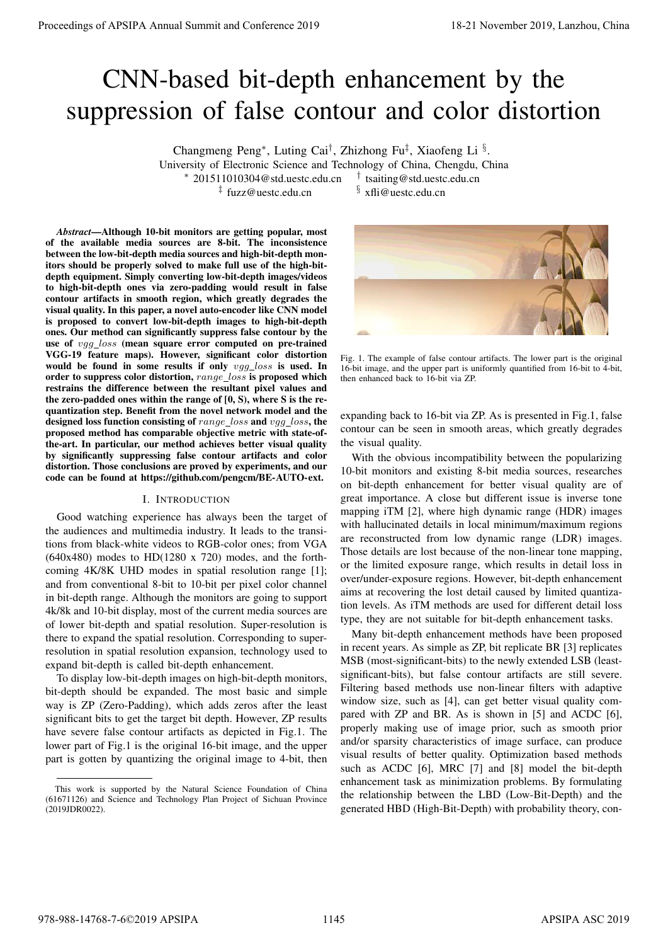# CNN-based bit-depth enhancement by the suppression of false contour and color distortion

Changmeng Peng<sup>∗</sup>, Luting Cai<sup>†</sup>, Zhizhong Fu<sup>‡</sup>, Xiaofeng Li §.

University of Electronic Science and Technology of China, Chengdu, China

<sup>∗</sup> 201511010304@std.uestc.edu.cn †

<sup>‡</sup> fuzz@uestc.edu.cn

tsaiting@std.uestc.edu.cn  $§$  xfli@uestc.edu.cn

*Abstract*—Although 10-bit monitors are getting popular, most of the available media sources are 8-bit. The inconsistence between the low-bit-depth media sources and high-bit-depth monitors should be properly solved to make full use of the high-bitdepth equipment. Simply converting low-bit-depth images/videos to high-bit-depth ones via zero-padding would result in false contour artifacts in smooth region, which greatly degrades the visual quality. In this paper, a novel auto-encoder like CNN model is proposed to convert low-bit-depth images to high-bit-depth ones. Our method can significantly suppress false contour by the use of vgg\_loss (mean square error computed on pre-trained VGG-19 feature maps). However, significant color distortion would be found in some results if only vgg\_loss is used. In order to suppress color distortion, range\_loss is proposed which restrains the difference between the resultant pixel values and the zero-padded ones within the range of [0, S), where S is the requantization step. Benefit from the novel network model and the designed loss function consisting of  $range_loss$  and  $vqq_loss$ , the proposed method has comparable objective metric with state-ofthe-art. In particular, our method achieves better visual quality by significantly suppressing false contour artifacts and color distortion. Those conclusions are proved by experiments, and our code can be found at https://github.com/pengcm/BE-AUTO-ext. Proceedings of APSIPA Annual Summit and Conference 2019 18-21 November 2019, Lanzhou, China 978-988-14768-7-6©2019 APSIPA 1145 APSIPA ASC 2019

## I. INTRODUCTION

Good watching experience has always been the target of the audiences and multimedia industry. It leads to the transitions from black-white videos to RGB-color ones; from VGA  $(640x480)$  modes to HD $(1280 \times 720)$  modes, and the forthcoming 4K/8K UHD modes in spatial resolution range [1]; and from conventional 8-bit to 10-bit per pixel color channel in bit-depth range. Although the monitors are going to support 4k/8k and 10-bit display, most of the current media sources are of lower bit-depth and spatial resolution. Super-resolution is there to expand the spatial resolution. Corresponding to superresolution in spatial resolution expansion, technology used to expand bit-depth is called bit-depth enhancement.

To display low-bit-depth images on high-bit-depth monitors, bit-depth should be expanded. The most basic and simple way is ZP (Zero-Padding), which adds zeros after the least significant bits to get the target bit depth. However, ZP results have severe false contour artifacts as depicted in Fig.1. The lower part of Fig.1 is the original 16-bit image, and the upper part is gotten by quantizing the original image to 4-bit, then



Fig. 1. The example of false contour artifacts. The lower part is the original 16-bit image, and the upper part is uniformly quantified from 16-bit to 4-bit, then enhanced back to 16-bit via ZP.

expanding back to 16-bit via ZP. As is presented in Fig.1, false contour can be seen in smooth areas, which greatly degrades the visual quality.

With the obvious incompatibility between the popularizing 10-bit monitors and existing 8-bit media sources, researches on bit-depth enhancement for better visual quality are of great importance. A close but different issue is inverse tone mapping iTM [2], where high dynamic range (HDR) images with hallucinated details in local minimum/maximum regions are reconstructed from low dynamic range (LDR) images. Those details are lost because of the non-linear tone mapping, or the limited exposure range, which results in detail loss in over/under-exposure regions. However, bit-depth enhancement aims at recovering the lost detail caused by limited quantization levels. As iTM methods are used for different detail loss type, they are not suitable for bit-depth enhancement tasks.

Many bit-depth enhancement methods have been proposed in recent years. As simple as ZP, bit replicate BR [3] replicates MSB (most-significant-bits) to the newly extended LSB (leastsignificant-bits), but false contour artifacts are still severe. Filtering based methods use non-linear filters with adaptive window size, such as [4], can get better visual quality compared with ZP and BR. As is shown in [5] and ACDC [6], properly making use of image prior, such as smooth prior and/or sparsity characteristics of image surface, can produce visual results of better quality. Optimization based methods such as ACDC [6], MRC [7] and [8] model the bit-depth enhancement task as minimization problems. By formulating the relationship between the LBD (Low-Bit-Depth) and the generated HBD (High-Bit-Depth) with probability theory, con-

This work is supported by the Natural Science Foundation of China (61671126) and Science and Technology Plan Project of Sichuan Province (2019JDR0022).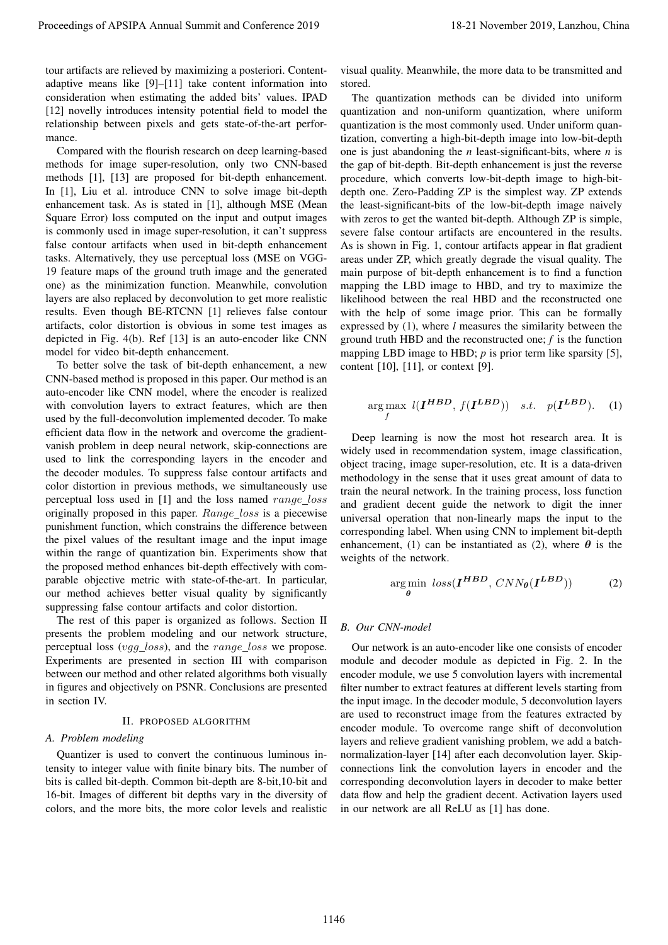tour artifacts are relieved by maximizing a posteriori. Contentadaptive means like [9]–[11] take content information into consideration when estimating the added bits' values. IPAD [12] novelly introduces intensity potential field to model the relationship between pixels and gets state-of-the-art performance.

Compared with the flourish research on deep learning-based methods for image super-resolution, only two CNN-based methods [1], [13] are proposed for bit-depth enhancement. In [1], Liu et al. introduce CNN to solve image bit-depth enhancement task. As is stated in [1], although MSE (Mean Square Error) loss computed on the input and output images is commonly used in image super-resolution, it can't suppress false contour artifacts when used in bit-depth enhancement tasks. Alternatively, they use perceptual loss (MSE on VGG-19 feature maps of the ground truth image and the generated one) as the minimization function. Meanwhile, convolution layers are also replaced by deconvolution to get more realistic results. Even though BE-RTCNN [1] relieves false contour artifacts, color distortion is obvious in some test images as depicted in Fig. 4(b). Ref [13] is an auto-encoder like CNN model for video bit-depth enhancement.

To better solve the task of bit-depth enhancement, a new CNN-based method is proposed in this paper. Our method is an auto-encoder like CNN model, where the encoder is realized with convolution layers to extract features, which are then used by the full-deconvolution implemented decoder. To make efficient data flow in the network and overcome the gradientvanish problem in deep neural network, skip-connections are used to link the corresponding layers in the encoder and the decoder modules. To suppress false contour artifacts and color distortion in previous methods, we simultaneously use perceptual loss used in [1] and the loss named range loss originally proposed in this paper. Range loss is a piecewise punishment function, which constrains the difference between the pixel values of the resultant image and the input image within the range of quantization bin. Experiments show that the proposed method enhances bit-depth effectively with comparable objective metric with state-of-the-art. In particular, our method achieves better visual quality by significantly suppressing false contour artifacts and color distortion.

The rest of this paper is organized as follows. Section II presents the problem modeling and our network structure, perceptual loss (vgg loss), and the range loss we propose. Experiments are presented in section III with comparison between our method and other related algorithms both visually in figures and objectively on PSNR. Conclusions are presented in section IV.

# II. PROPOSED ALGORITHM

# *A. Problem modeling*

Quantizer is used to convert the continuous luminous intensity to integer value with finite binary bits. The number of bits is called bit-depth. Common bit-depth are 8-bit,10-bit and 16-bit. Images of different bit depths vary in the diversity of colors, and the more bits, the more color levels and realistic

visual quality. Meanwhile, the more data to be transmitted and stored.

The quantization methods can be divided into uniform quantization and non-uniform quantization, where uniform quantization is the most commonly used. Under uniform quantization, converting a high-bit-depth image into low-bit-depth one is just abandoning the *n* least-significant-bits, where *n* is the gap of bit-depth. Bit-depth enhancement is just the reverse procedure, which converts low-bit-depth image to high-bitdepth one. Zero-Padding ZP is the simplest way. ZP extends the least-significant-bits of the low-bit-depth image naively with zeros to get the wanted bit-depth. Although ZP is simple, severe false contour artifacts are encountered in the results. As is shown in Fig. 1, contour artifacts appear in flat gradient areas under ZP, which greatly degrade the visual quality. The main purpose of bit-depth enhancement is to find a function mapping the LBD image to HBD, and try to maximize the likelihood between the real HBD and the reconstructed one with the help of some image prior. This can be formally expressed by (1), where *l* measures the similarity between the ground truth HBD and the reconstructed one; *f* is the function mapping LBD image to HBD; *p* is prior term like sparsity [5], content [10], [11], or context [9]. Proceedings of APSIPA Annual Summit and Conference 2019<br>
movements of the conference 2019 18-21 November 2019, Universe and Conference 2019, Universe 2019, Universe 2019, Universe 2019, Universe 2019, Universe 2019, Unive

$$
\underset{f}{\arg \max} \ l(\mathbf{I}^{\mathbf{HBD}}, f(\mathbf{I}^{\mathbf{LBD}})) \quad s.t. \quad p(\mathbf{I}^{\mathbf{LBD}}). \quad (1)
$$

Deep learning is now the most hot research area. It is widely used in recommendation system, image classification, object tracing, image super-resolution, etc. It is a data-driven methodology in the sense that it uses great amount of data to train the neural network. In the training process, loss function and gradient decent guide the network to digit the inner universal operation that non-linearly maps the input to the corresponding label. When using CNN to implement bit-depth enhancement, (1) can be instantiated as (2), where  $\theta$  is the weights of the network.

$$
\underset{\theta}{\arg\min} \; loss(\boldsymbol{I}^{\boldsymbol{HBD}}, \; CNN_{\theta}(\boldsymbol{I}^{\boldsymbol{LBD}})) \tag{2}
$$

# *B. Our CNN-model*

Our network is an auto-encoder like one consists of encoder module and decoder module as depicted in Fig. 2. In the encoder module, we use 5 convolution layers with incremental filter number to extract features at different levels starting from the input image. In the decoder module, 5 deconvolution layers are used to reconstruct image from the features extracted by encoder module. To overcome range shift of deconvolution layers and relieve gradient vanishing problem, we add a batchnormalization-layer [14] after each deconvolution layer. Skipconnections link the convolution layers in encoder and the corresponding deconvolution layers in decoder to make better data flow and help the gradient decent. Activation layers used in our network are all ReLU as [1] has done.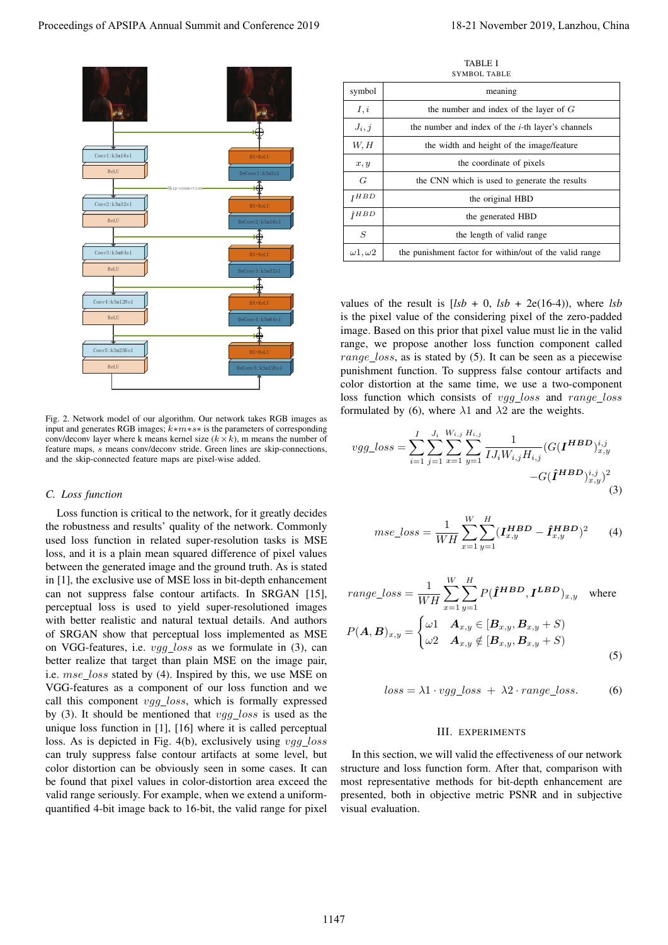

Fig. 2. Network model of our algorithm. Our network takes RGB images as input and generates RGB images; k∗m∗s∗ is the parameters of corresponding conv/deconv layer where k means kernel size  $(k \times k)$ , m means the number of feature maps, s means conv/deconv stride. Green lines are skip-connections, and the skip-connected feature maps are pixel-wise added.

## *C. Loss function*

Loss function is critical to the network, for it greatly decides the robustness and results' quality of the network. Commonly used loss function in related super-resolution tasks is MSE loss, and it is a plain mean squared difference of pixel values between the generated image and the ground truth. As is stated in [1], the exclusive use of MSE loss in bit-depth enhancement can not suppress false contour artifacts. In SRGAN [15], perceptual loss is used to yield super-resolutioned images with better realistic and natural textual details. And authors of SRGAN show that perceptual loss implemented as MSE on VGG-features, i.e.  $vgg_loss$  as we formulate in (3), can better realize that target than plain MSE on the image pair, i.e.  $mse\_loss$  stated by (4). Inspired by this, we use MSE on VGG-features as a component of our loss function and we call this component  $vgg\_loss$ , which is formally expressed by (3). It should be mentioned that  $vgg\_{loss}$  is used as the unique loss function in [1], [16] where it is called perceptual loss. As is depicted in Fig. 4(b), exclusively using vgg\_loss can truly suppress false contour artifacts at some level, but color distortion can be obviously seen in some cases. It can be found that pixel values in color-distortion area exceed the valid range seriously. For example, when we extend a uniformquantified 4-bit image back to 16-bit, the valid range for pixel

TABLE I SYMROL TABLE

|                          | $\mathcal{O}$ . The state of $\mathcal{O}$ is a state of $\mathcal{O}$ |
|--------------------------|------------------------------------------------------------------------|
| symbol                   | meaning                                                                |
| I, i                     | the number and index of the layer of $G$                               |
| $J_i, j$                 | the number and index of the <i>i</i> -th layer's channels              |
| W, H                     | the width and height of the image/feature                              |
| x, y                     | the coordinate of pixels                                               |
| G                        | the CNN which is used to generate the results                          |
| I H B D                  | the original HBD                                                       |
| $\hat{\mathbf{I}} H B D$ | the generated HBD                                                      |
| S                        | the length of valid range                                              |
| $\omega$ 1, $\omega$ 2   | the punishment factor for within/out of the valid range                |

values of the result is  $[lsb + 0, lsb + 2e(16-4))$ , where  $lsb$ is the pixel value of the considering pixel of the zero-padded image. Based on this prior that pixel value must lie in the valid range, we propose another loss function component called range loss, as is stated by  $(5)$ . It can be seen as a piecewise punishment function. To suppress false contour artifacts and color distortion at the same time, we use a two-component loss function which consists of vgg\_loss and range\_loss formulated by (6), where  $\lambda$ 1 and  $\lambda$ 2 are the weights.

$$
vgg\_loss = \sum_{i=1}^{I} \sum_{j=1}^{J_i} \sum_{x=1}^{W_{i,j}} \sum_{y=1}^{H_{i,j}} \frac{1}{IJ_i W_{i,j} H_{i,j}} (G(\mathbf{I}^{HBD})_{x,y}^{i,j}) - G(\hat{\mathbf{I}}^{HBD})_{x,y}^{i,j})^2
$$
\n(3)

$$
mse\_loss = \frac{1}{WH} \sum_{x=1}^{W} \sum_{y=1}^{H} (\mathbf{I}_{x,y}^{HBD} - \hat{\mathbf{I}}_{x,y}^{HBD})^2
$$
 (4)

$$
range\_loss = \frac{1}{WH} \sum_{x=1}^{W} \sum_{y=1}^{H} P(\hat{\mathbf{I}}^{HBD}, \mathbf{I}^{LBD})_{x,y} \text{ where}
$$

$$
P(\mathbf{A} | \mathbf{B}) = \int \omega \mathbf{1} \quad \mathbf{A}_{x,y} \in [\mathbf{B}_{x,y}, \mathbf{B}_{x,y} + S)
$$

$$
P(\mathbf{A}, \mathbf{B})_{x,y} = \begin{cases} \omega_1 & \mathbf{A}_{x,y} \in [\mathbf{B}_{x,y}, \mathbf{B}_{x,y} + S) \\ \omega_2 & \mathbf{A}_{x,y} \notin [\mathbf{B}_{x,y}, \mathbf{B}_{x,y} + S) \end{cases}
$$
(5)

$$
loss = \lambda 1 \cdot vgg\_loss + \lambda 2 \cdot range\_loss. \tag{6}
$$

## III. EXPERIMENTS

In this section, we will valid the effectiveness of our network structure and loss function form. After that, comparison with most representative methods for bit-depth enhancement are presented, both in objective metric PSNR and in subjective visual evaluation.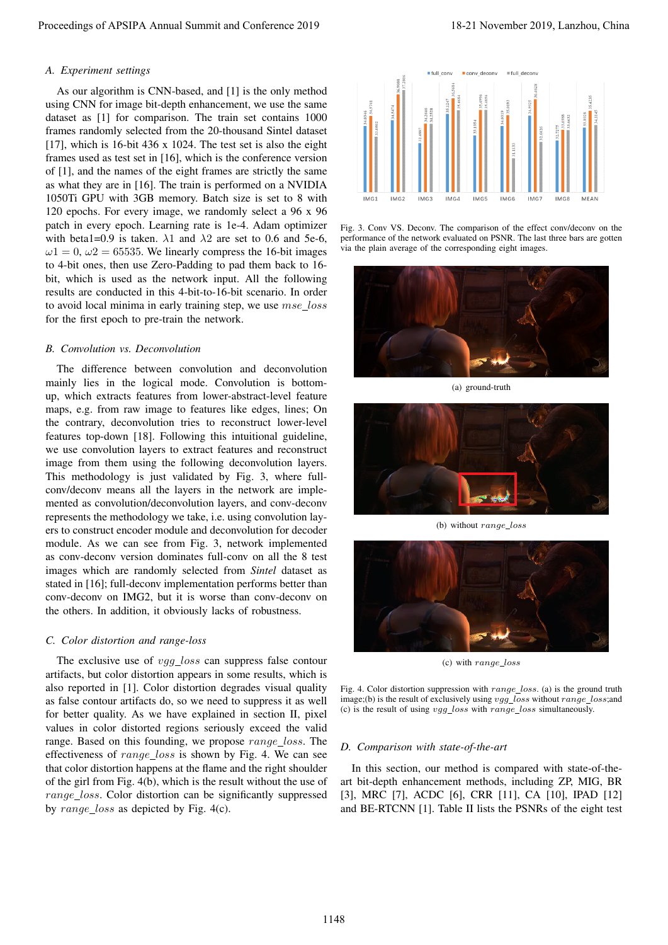## *A. Experiment settings*

As our algorithm is CNN-based, and [1] is the only method using CNN for image bit-depth enhancement, we use the same dataset as [1] for comparison. The train set contains 1000 frames randomly selected from the 20-thousand Sintel dataset [17], which is 16-bit 436 x 1024. The test set is also the eight frames used as test set in [16], which is the conference version of [1], and the names of the eight frames are strictly the same as what they are in [16]. The train is performed on a NVIDIA 1050Ti GPU with 3GB memory. Batch size is set to 8 with 120 epochs. For every image, we randomly select a 96 x 96 patch in every epoch. Learning rate is 1e-4. Adam optimizer with beta1=0.9 is taken.  $\lambda$ 1 and  $\lambda$ 2 are set to 0.6 and 5e-6,  $\omega$ 1 = 0,  $\omega$ 2 = 65535. We linearly compress the 16-bit images to 4-bit ones, then use Zero-Padding to pad them back to 16 bit, which is used as the network input. All the following results are conducted in this 4-bit-to-16-bit scenario. In order to avoid local minima in early training step, we use  $mse\_loss$ for the first epoch to pre-train the network.

## *B. Convolution vs. Deconvolution*

The difference between convolution and deconvolution mainly lies in the logical mode. Convolution is bottomup, which extracts features from lower-abstract-level feature maps, e.g. from raw image to features like edges, lines; On the contrary, deconvolution tries to reconstruct lower-level features top-down [18]. Following this intuitional guideline, we use convolution layers to extract features and reconstruct image from them using the following deconvolution layers. This methodology is just validated by Fig. 3, where fullconv/deconv means all the layers in the network are implemented as convolution/deconvolution layers, and conv-deconv represents the methodology we take, i.e. using convolution layers to construct encoder module and deconvolution for decoder module. As we can see from Fig. 3, network implemented as conv-deconv version dominates full-conv on all the 8 test images which are randomly selected from *Sintel* dataset as stated in [16]; full-deconv implementation performs better than conv-deconv on IMG2, but it is worse than conv-deconv on the others. In addition, it obviously lacks of robustness. Proceedings of APSIPA Annual Summit and Conference 2019<br>
An or distribute the CNN based and Cl is he ocho must an early and conference 2019<br>
The main state of the CNN based Annual Summit and CNN based and CNN based and CN

## *C. Color distortion and range-loss*

The exclusive use of *vgg\_loss* can suppress false contour artifacts, but color distortion appears in some results, which is also reported in [1]. Color distortion degrades visual quality as false contour artifacts do, so we need to suppress it as well for better quality. As we have explained in section II, pixel values in color distorted regions seriously exceed the valid range. Based on this founding, we propose  $range\_loss$ . The effectiveness of range\_loss is shown by Fig. 4. We can see that color distortion happens at the flame and the right shoulder of the girl from Fig. 4(b), which is the result without the use of range\_loss. Color distortion can be significantly suppressed by range\_loss as depicted by Fig. 4(c).



Fig. 3. Conv VS. Deconv. The comparison of the effect conv/deconv on the performance of the network evaluated on PSNR. The last three bars are gotten via the plain average of the corresponding eight images.



(a) ground-truth



(b) without  $range\_loss$ 



(c) with  $range\_loss$ 

Fig. 4. Color distortion suppression with  $range\_loss$ . (a) is the ground truth image;(b) is the result of exclusively using vgg\_loss without range\_loss;and (c) is the result of using  $vgg\_loss$  with  $range\_loss$  simultaneously.

## *D. Comparison with state-of-the-art*

In this section, our method is compared with state-of-theart bit-depth enhancement methods, including ZP, MIG, BR [3], MRC [7], ACDC [6], CRR [11], CA [10], IPAD [12] and BE-RTCNN [1]. Table II lists the PSNRs of the eight test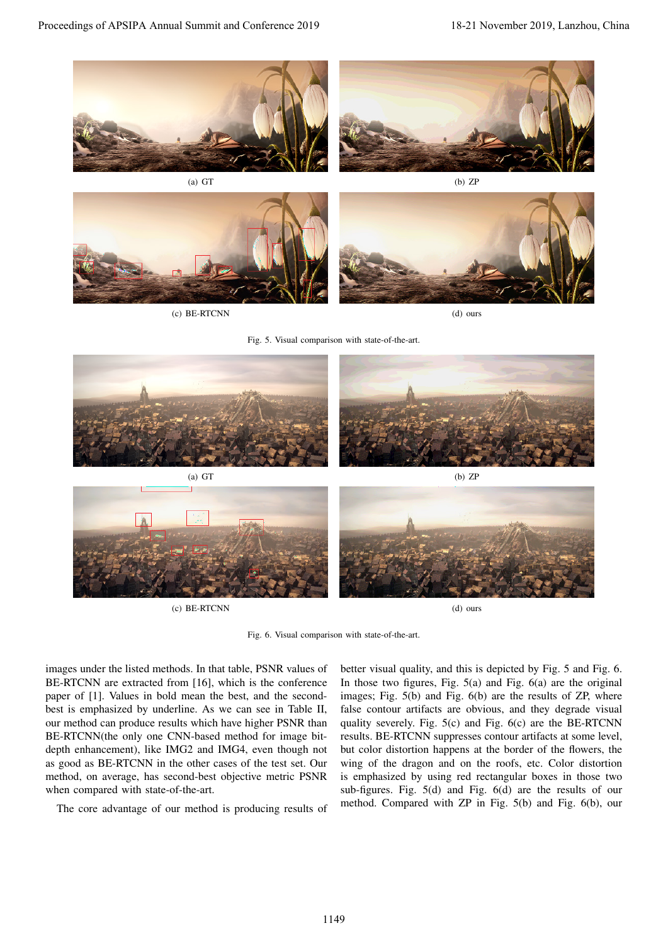



(c) BE-RTCNN (d) ours

Fig. 5. Visual comparison with state-of-the-art.



(c) BE-RTCNN (d) ours

Fig. 6. Visual comparison with state-of-the-art.

images under the listed methods. In that table, PSNR values of BE-RTCNN are extracted from [16], which is the conference paper of [1]. Values in bold mean the best, and the secondbest is emphasized by underline. As we can see in Table II, our method can produce results which have higher PSNR than BE-RTCNN(the only one CNN-based method for image bitdepth enhancement), like IMG2 and IMG4, even though not as good as BE-RTCNN in the other cases of the test set. Our method, on average, has second-best objective metric PSNR when compared with state-of-the-art.

The core advantage of our method is producing results of

better visual quality, and this is depicted by Fig. 5 and Fig. 6. In those two figures, Fig.  $5(a)$  and Fig.  $6(a)$  are the original images; Fig. 5(b) and Fig. 6(b) are the results of ZP, where false contour artifacts are obvious, and they degrade visual quality severely. Fig. 5(c) and Fig. 6(c) are the BE-RTCNN results. BE-RTCNN suppresses contour artifacts at some level, but color distortion happens at the border of the flowers, the wing of the dragon and on the roofs, etc. Color distortion is emphasized by using red rectangular boxes in those two sub-figures. Fig. 5(d) and Fig. 6(d) are the results of our method. Compared with ZP in Fig. 5(b) and Fig. 6(b), our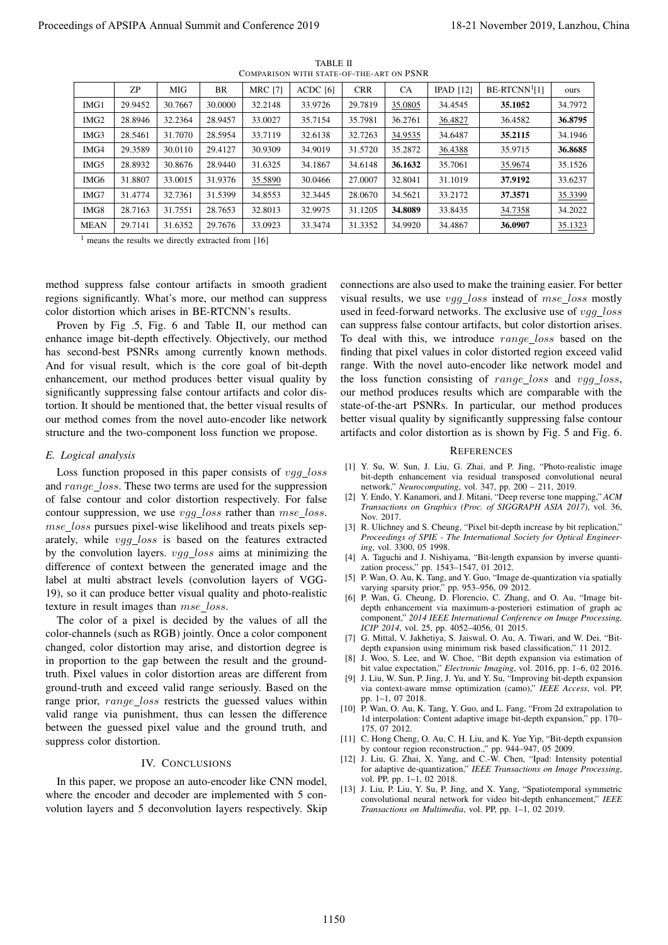| ZΡ                                                                                                                                                                                                                                                                                                                                                                                                                                                                                                                                                                                                                                                                                                                                                                                                                                                                                                                                                                                                                                                                                                                                                                                                                                                                                                                                                                                                                                                                                                                                                                                                                                                                                                                                                                                                                                                                                                                                                                                                                                                                                                                      |                    |                    |                    | TABLE II                                                  | COMPARISON WITH STATE-OF-THE-ART ON PSNR |                                                                        |                                                                                                 |                                                                                                                                                                                                                                                                                                                                                                                                                                                                                                                                                                                                                                                                                                                                                                                                                                                                                                                                                                                                                                                                                                                                                                                                                                                                                                                                                                                                                                                                                                                                                                                                                                                                                                                                                                                                                                                                                                                                                                                                                                                                                                                                                                                                                                                                                                                                                                                                                                                                                                                                                                                                                                                                                                                                             |                    |
|-------------------------------------------------------------------------------------------------------------------------------------------------------------------------------------------------------------------------------------------------------------------------------------------------------------------------------------------------------------------------------------------------------------------------------------------------------------------------------------------------------------------------------------------------------------------------------------------------------------------------------------------------------------------------------------------------------------------------------------------------------------------------------------------------------------------------------------------------------------------------------------------------------------------------------------------------------------------------------------------------------------------------------------------------------------------------------------------------------------------------------------------------------------------------------------------------------------------------------------------------------------------------------------------------------------------------------------------------------------------------------------------------------------------------------------------------------------------------------------------------------------------------------------------------------------------------------------------------------------------------------------------------------------------------------------------------------------------------------------------------------------------------------------------------------------------------------------------------------------------------------------------------------------------------------------------------------------------------------------------------------------------------------------------------------------------------------------------------------------------------|--------------------|--------------------|--------------------|-----------------------------------------------------------|------------------------------------------|------------------------------------------------------------------------|-------------------------------------------------------------------------------------------------|---------------------------------------------------------------------------------------------------------------------------------------------------------------------------------------------------------------------------------------------------------------------------------------------------------------------------------------------------------------------------------------------------------------------------------------------------------------------------------------------------------------------------------------------------------------------------------------------------------------------------------------------------------------------------------------------------------------------------------------------------------------------------------------------------------------------------------------------------------------------------------------------------------------------------------------------------------------------------------------------------------------------------------------------------------------------------------------------------------------------------------------------------------------------------------------------------------------------------------------------------------------------------------------------------------------------------------------------------------------------------------------------------------------------------------------------------------------------------------------------------------------------------------------------------------------------------------------------------------------------------------------------------------------------------------------------------------------------------------------------------------------------------------------------------------------------------------------------------------------------------------------------------------------------------------------------------------------------------------------------------------------------------------------------------------------------------------------------------------------------------------------------------------------------------------------------------------------------------------------------------------------------------------------------------------------------------------------------------------------------------------------------------------------------------------------------------------------------------------------------------------------------------------------------------------------------------------------------------------------------------------------------------------------------------------------------------------------------------------------------|--------------------|
|                                                                                                                                                                                                                                                                                                                                                                                                                                                                                                                                                                                                                                                                                                                                                                                                                                                                                                                                                                                                                                                                                                                                                                                                                                                                                                                                                                                                                                                                                                                                                                                                                                                                                                                                                                                                                                                                                                                                                                                                                                                                                                                         | MIG                | BR                 | <b>MRC</b> [7]     | ACDC [6]                                                  | <b>CRR</b>                               | CA                                                                     | $IPAD$ [12]                                                                                     | $BE-RTCNN1[1]$                                                                                                                                                                                                                                                                                                                                                                                                                                                                                                                                                                                                                                                                                                                                                                                                                                                                                                                                                                                                                                                                                                                                                                                                                                                                                                                                                                                                                                                                                                                                                                                                                                                                                                                                                                                                                                                                                                                                                                                                                                                                                                                                                                                                                                                                                                                                                                                                                                                                                                                                                                                                                                                                                                                              | ours               |
| IMG1<br>29.9452                                                                                                                                                                                                                                                                                                                                                                                                                                                                                                                                                                                                                                                                                                                                                                                                                                                                                                                                                                                                                                                                                                                                                                                                                                                                                                                                                                                                                                                                                                                                                                                                                                                                                                                                                                                                                                                                                                                                                                                                                                                                                                         | 30.7667            | 30.0000            | 32.2148            | 33.9726                                                   | 29.7819                                  | 35.0805                                                                | 34.4545                                                                                         | 35.1052                                                                                                                                                                                                                                                                                                                                                                                                                                                                                                                                                                                                                                                                                                                                                                                                                                                                                                                                                                                                                                                                                                                                                                                                                                                                                                                                                                                                                                                                                                                                                                                                                                                                                                                                                                                                                                                                                                                                                                                                                                                                                                                                                                                                                                                                                                                                                                                                                                                                                                                                                                                                                                                                                                                                     | 34.7972            |
| 28.8946<br>IMG <sub>2</sub>                                                                                                                                                                                                                                                                                                                                                                                                                                                                                                                                                                                                                                                                                                                                                                                                                                                                                                                                                                                                                                                                                                                                                                                                                                                                                                                                                                                                                                                                                                                                                                                                                                                                                                                                                                                                                                                                                                                                                                                                                                                                                             | 32.2364            | 28.9457            | 33.0027            | 35.7154                                                   | 35.7981                                  | 36.2761                                                                | 36.4827                                                                                         | 36.4582                                                                                                                                                                                                                                                                                                                                                                                                                                                                                                                                                                                                                                                                                                                                                                                                                                                                                                                                                                                                                                                                                                                                                                                                                                                                                                                                                                                                                                                                                                                                                                                                                                                                                                                                                                                                                                                                                                                                                                                                                                                                                                                                                                                                                                                                                                                                                                                                                                                                                                                                                                                                                                                                                                                                     | 36.8795            |
| 28.5461<br>IMG3                                                                                                                                                                                                                                                                                                                                                                                                                                                                                                                                                                                                                                                                                                                                                                                                                                                                                                                                                                                                                                                                                                                                                                                                                                                                                                                                                                                                                                                                                                                                                                                                                                                                                                                                                                                                                                                                                                                                                                                                                                                                                                         | 31.7070            | 28.5954            | 33.7119            | 32.6138                                                   | 32.7263                                  | 34.9535                                                                | 34.6487                                                                                         | 35.2115                                                                                                                                                                                                                                                                                                                                                                                                                                                                                                                                                                                                                                                                                                                                                                                                                                                                                                                                                                                                                                                                                                                                                                                                                                                                                                                                                                                                                                                                                                                                                                                                                                                                                                                                                                                                                                                                                                                                                                                                                                                                                                                                                                                                                                                                                                                                                                                                                                                                                                                                                                                                                                                                                                                                     | 34.1946            |
| 29.3589<br>IMG4<br>28.8932                                                                                                                                                                                                                                                                                                                                                                                                                                                                                                                                                                                                                                                                                                                                                                                                                                                                                                                                                                                                                                                                                                                                                                                                                                                                                                                                                                                                                                                                                                                                                                                                                                                                                                                                                                                                                                                                                                                                                                                                                                                                                              | 30.0110<br>30.8676 | 29.4127<br>28.9440 | 30.9309<br>31.6325 | 34.9019                                                   | 31.5720<br>34.6148                       | 35.2872                                                                | 36.4388                                                                                         | 35.9715                                                                                                                                                                                                                                                                                                                                                                                                                                                                                                                                                                                                                                                                                                                                                                                                                                                                                                                                                                                                                                                                                                                                                                                                                                                                                                                                                                                                                                                                                                                                                                                                                                                                                                                                                                                                                                                                                                                                                                                                                                                                                                                                                                                                                                                                                                                                                                                                                                                                                                                                                                                                                                                                                                                                     | 36.8685            |
| IMG5<br>31.8807<br>IMG6                                                                                                                                                                                                                                                                                                                                                                                                                                                                                                                                                                                                                                                                                                                                                                                                                                                                                                                                                                                                                                                                                                                                                                                                                                                                                                                                                                                                                                                                                                                                                                                                                                                                                                                                                                                                                                                                                                                                                                                                                                                                                                 | 33.0015            | 31.9376            | 35.5890            | 34.1867<br>30.0466                                        | 27.0007                                  | 36.1632<br>32.8041                                                     | 35.7061<br>31.1019                                                                              | 35.9674<br>37.9192                                                                                                                                                                                                                                                                                                                                                                                                                                                                                                                                                                                                                                                                                                                                                                                                                                                                                                                                                                                                                                                                                                                                                                                                                                                                                                                                                                                                                                                                                                                                                                                                                                                                                                                                                                                                                                                                                                                                                                                                                                                                                                                                                                                                                                                                                                                                                                                                                                                                                                                                                                                                                                                                                                                          | 35.1526<br>33.6237 |
| 31.4774<br>IMG7                                                                                                                                                                                                                                                                                                                                                                                                                                                                                                                                                                                                                                                                                                                                                                                                                                                                                                                                                                                                                                                                                                                                                                                                                                                                                                                                                                                                                                                                                                                                                                                                                                                                                                                                                                                                                                                                                                                                                                                                                                                                                                         | 32.7361            | 31.5399            | 34.8553            | 32.3445                                                   | 28.0670                                  | 34.5621                                                                | 33.2172                                                                                         | 37.3571                                                                                                                                                                                                                                                                                                                                                                                                                                                                                                                                                                                                                                                                                                                                                                                                                                                                                                                                                                                                                                                                                                                                                                                                                                                                                                                                                                                                                                                                                                                                                                                                                                                                                                                                                                                                                                                                                                                                                                                                                                                                                                                                                                                                                                                                                                                                                                                                                                                                                                                                                                                                                                                                                                                                     | 35.3399            |
| IMG8<br>28.7163                                                                                                                                                                                                                                                                                                                                                                                                                                                                                                                                                                                                                                                                                                                                                                                                                                                                                                                                                                                                                                                                                                                                                                                                                                                                                                                                                                                                                                                                                                                                                                                                                                                                                                                                                                                                                                                                                                                                                                                                                                                                                                         | 31.7551            | 28.7653            | 32.8013            | 32.9975                                                   | 31.1205                                  | 34.8089                                                                | 33.8435                                                                                         | 34.7358                                                                                                                                                                                                                                                                                                                                                                                                                                                                                                                                                                                                                                                                                                                                                                                                                                                                                                                                                                                                                                                                                                                                                                                                                                                                                                                                                                                                                                                                                                                                                                                                                                                                                                                                                                                                                                                                                                                                                                                                                                                                                                                                                                                                                                                                                                                                                                                                                                                                                                                                                                                                                                                                                                                                     | 34.2022            |
| <b>MEAN</b><br>29.7141                                                                                                                                                                                                                                                                                                                                                                                                                                                                                                                                                                                                                                                                                                                                                                                                                                                                                                                                                                                                                                                                                                                                                                                                                                                                                                                                                                                                                                                                                                                                                                                                                                                                                                                                                                                                                                                                                                                                                                                                                                                                                                  | 31.6352            | 29.7676            | 33.0923            | 33.3474                                                   | 31.3352                                  | 34.9920                                                                | 34.4867                                                                                         | 36.0907                                                                                                                                                                                                                                                                                                                                                                                                                                                                                                                                                                                                                                                                                                                                                                                                                                                                                                                                                                                                                                                                                                                                                                                                                                                                                                                                                                                                                                                                                                                                                                                                                                                                                                                                                                                                                                                                                                                                                                                                                                                                                                                                                                                                                                                                                                                                                                                                                                                                                                                                                                                                                                                                                                                                     | 35.1323            |
| method suppress false contour artifacts in smooth gradient<br>regions significantly. What's more, our method can suppress<br>color distortion which arises in BE-RTCNN's results.<br>Proven by Fig. 5, Fig. 6 and Table II, our method can<br>enhance image bit-depth effectively. Objectively, our method<br>has second-best PSNRs among currently known methods.<br>And for visual result, which is the core goal of bit-depth<br>enhancement, our method produces better visual quality by<br>significantly suppressing false contour artifacts and color dis-<br>tortion. It should be mentioned that, the better visual results of<br>our method comes from the novel auto-encoder like network<br>structure and the two-component loss function we propose.<br>E. Logical analysis<br>Loss function proposed in this paper consists of vgg_loss<br>and range_loss. These two terms are used for the suppression<br>of false contour and color distortion respectively. For false<br>contour suppression, we use vgg_loss rather than mse_loss.<br>mse_loss pursues pixel-wise likelihood and treats pixels sep-<br>arately, while vgg_loss is based on the features extracted<br>by the convolution layers. $vgg\_{loss}$ aims at minimizing the<br>difference of context between the generated image and the<br>label at multi abstract levels (convolution layers of VGG-<br>19), so it can produce better visual quality and photo-realistic<br>texture in result images than mse_loss.<br>The color of a pixel is decided by the values of all the<br>color-channels (such as RGB) jointly. Once a color component<br>changed, color distortion may arise, and distortion degree is<br>in proportion to the gap between the result and the ground-<br>truth. Pixel values in color distortion areas are different from<br>ground-truth and exceed valid range seriously. Based on the<br>range prior, range_loss restricts the guessed values within<br>valid range via punishment, thus can lessen the difference<br>between the guessed pixel value and the ground truth, and<br>suppress color distortion. |                    | IV. CONCLUSIONS    |                    | In this paper, we propose an auto-encoder like CNN model, | Nov. 2017.<br>vol. PP, pp. 1–1, 02 2018. | <i>ing</i> , vol. 3300, 05 1998.<br>pp. 1–1, 07 2018.<br>175, 07 2012. | zation process," pp. 1543-1547, 01 2012.<br><i>ICIP 2014</i> , vol. 25, pp. 4052–4056, 01 2015. | connections are also used to make the training easier. For better<br>visual results, we use vgg_loss instead of mse_loss mostly<br>used in feed-forward networks. The exclusive use of vgg_loss<br>can suppress false contour artifacts, but color distortion arises.<br>To deal with this, we introduce range_loss based on the<br>finding that pixel values in color distorted region exceed valid<br>range. With the novel auto-encoder like network model and<br>the loss function consisting of range_loss and vgg_loss,<br>our method produces results which are comparable with the<br>state-of-the-art PSNRs. In particular, our method produces<br>better visual quality by significantly suppressing false contour<br>artifacts and color distortion as is shown by Fig. 5 and Fig. 6.<br><b>REFERENCES</b><br>[1] Y. Su, W. Sun, J. Liu, G. Zhai, and P. Jing, "Photo-realistic image<br>bit-depth enhancement via residual transposed convolutional neural<br>network," <i>Neurocomputing</i> , vol. 347, pp. $200 - 211$ , 2019.<br>[2] Y. Endo, Y. Kanamori, and J. Mitani, "Deep reverse tone mapping," ACM<br><i>Transactions on Graphics (Proc. of SIGGRAPH ASIA 2017)</i> , vol. 36,<br>[3] R. Ulichney and S. Cheung, "Pixel bit-depth increase by bit replication,"<br>Proceedings of SPIE - The International Society for Optical Engineer-<br>[4] A. Taguchi and J. Nishiyama, "Bit-length expansion by inverse quanti-<br>[5] P. Wan, O. Au, K. Tang, and Y. Guo, "Image de-quantization via spatially<br>varying sparsity prior," pp. 953-956, 09 2012.<br>[6] P. Wan, G. Cheung, D. Florencio, C. Zhang, and O. Au, "Image bit-<br>depth enhancement via maximum-a-posteriori estimation of graph ac<br>component," 2014 IEEE International Conference on Image Processing,<br>[7] G. Mittal, V. Jakhetiya, S. Jaiswal, O. Au, A. Tiwari, and W. Dei, "Bit-<br>depth expansion using minimum risk based classification," 11 2012.<br>[8] J. Woo, S. Lee, and W. Choe, "Bit depth expansion via estimation of<br>bit value expectation," <i>Electronic Imaging</i> , vol. 2016, pp. 1–6, 02 2016.<br>[9] J. Liu, W. Sun, P. Jing, J. Yu, and Y. Su, "Improving bit-depth expansion<br>via context-aware mmse optimization (camo)," IEEE Access, vol. PP,<br>[10] P. Wan, O. Au, K. Tang, Y. Guo, and L. Fang, "From 2d extrapolation to<br>1d interpolation: Content adaptive image bit-depth expansion," pp. 170–<br>[11] C. Hong Cheng, O. Au, C. H. Liu, and K. Yue Yip, "Bit-depth expansion<br>by contour region reconstruction.," pp. 944–947, 05 2009.<br>[12] J. Liu, G. Zhai, X. Yang, and C.-W. Chen, "Ipad: Intensity potential<br>for adaptive de-quantization," IEEE Transactions on Image Processing, |                    |

TABLE II COMPARISON WITH STATE-OF-THE-ART ON PSNR

## *E. Logical analysis*

#### IV. CONCLUSIONS

#### **REFERENCES**

- [1] Y. Su, W. Sun, J. Liu, G. Zhai, and P. Jing, "Photo-realistic image bit-depth enhancement via residual transposed convolutional neural network," *Neurocomputing*, vol. 347, pp. 200 – 211, 2019.
- [2] Y. Endo, Y. Kanamori, and J. Mitani, "Deep reverse tone mapping," *ACM Transactions on Graphics (Proc. of SIGGRAPH ASIA 2017)*, vol. 36, Nov. 2017.
- [3] R. Ulichney and S. Cheung, "Pixel bit-depth increase by bit replication," *Proceedings of SPIE - The International Society for Optical Engineering*, vol. 3300, 05 1998.
- [4] A. Taguchi and J. Nishiyama, "Bit-length expansion by inverse quantization process," pp. 1543-1547, 01 2012.
- [5] P. Wan, O. Au, K. Tang, and Y. Guo, "Image de-quantization via spatially varying sparsity prior," pp. 953–956, 09 2012.
- [6] P. Wan, G. Cheung, D. Florencio, C. Zhang, and O. Au, "Image bitdepth enhancement via maximum-a-posteriori estimation of graph ac component," *2014 IEEE International Conference on Image Processing, ICIP 2014*, vol. 25, pp. 4052–4056, 01 2015.
- [7] G. Mittal, V. Jakhetiya, S. Jaiswal, O. Au, A. Tiwari, and W. Dei, "Bitdepth expansion using minimum risk based classification," 11 2012.
- [8] J. Woo, S. Lee, and W. Choe, "Bit depth expansion via estimation of bit value expectation," *Electronic Imaging*, vol. 2016, pp. 1–6, 02 2016.
- [9] J. Liu, W. Sun, P. Jing, J. Yu, and Y. Su, "Improving bit-depth expansion via context-aware mmse optimization (camo)," *IEEE Access*, vol. PP, pp. 1–1, 07 2018.
- [10] P. Wan, O. Au, K. Tang, Y. Guo, and L. Fang, "From 2d extrapolation to 1d interpolation: Content adaptive image bit-depth expansion," pp. 170– 175, 07 2012.
- [11] C. Hong Cheng, O. Au, C. H. Liu, and K. Yue Yip, "Bit-depth expansion by contour region reconstruction.," pp. 944–947, 05 2009.
- [12] J. Liu, G. Zhai, X. Yang, and C.-W. Chen, "Ipad: Intensity potential for adaptive de-quantization," *IEEE Transactions on Image Processing*, vol. PP, pp. 1–1, 02 2018.
- [13] J. Liu, P. Liu, Y. Su, P. Jing, and X. Yang, "Spatiotemporal symmetric convolutional neural network for video bit-depth enhancement," *IEEE Transactions on Multimedia*, vol. PP, pp. 1–1, 02 2019.